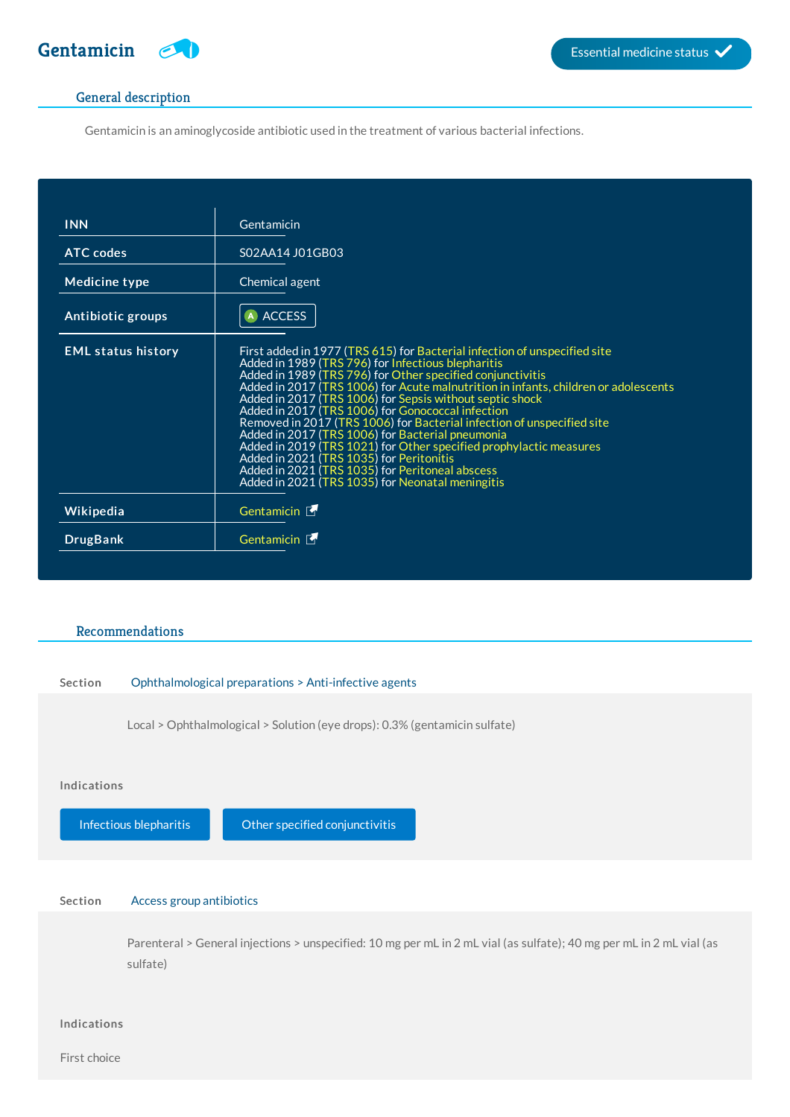

## General description

Gentamicin is an aminoglycoside antibiotic used in the treatment of various bacterial infections.

| <b>INN</b>                | Gentamicin                                                                                                                                                                                                                                                                                                                                                                                                                                                                                                                                                                                                                                                                                                                                                   |
|---------------------------|--------------------------------------------------------------------------------------------------------------------------------------------------------------------------------------------------------------------------------------------------------------------------------------------------------------------------------------------------------------------------------------------------------------------------------------------------------------------------------------------------------------------------------------------------------------------------------------------------------------------------------------------------------------------------------------------------------------------------------------------------------------|
| <b>ATC</b> codes          | S02AA14 J01GB03                                                                                                                                                                                                                                                                                                                                                                                                                                                                                                                                                                                                                                                                                                                                              |
| Medicine type             | Chemical agent                                                                                                                                                                                                                                                                                                                                                                                                                                                                                                                                                                                                                                                                                                                                               |
| Antibiotic groups         | <b>ACCESS</b>                                                                                                                                                                                                                                                                                                                                                                                                                                                                                                                                                                                                                                                                                                                                                |
| <b>EML status history</b> | First added in 1977 (TRS 615) for Bacterial infection of unspecified site<br>Added in 1989 (TRS 796) for Infectious blepharitis<br>Added in 1989 (TRS 796) for Other specified conjunctivitis<br>Added in 2017 (TRS 1006) for Acute malnutrition in infants, children or adolescents<br>Added in 2017 (TRS 1006) for Sepsis without septic shock<br>Added in 2017 (TRS 1006) for Gonococcal infection<br>Removed in 2017 (TRS 1006) for Bacterial infection of unspecified site<br>Added in 2017 (TRS 1006) for Bacterial pneumonia<br>Added in 2019 (TRS 1021) for Other specified prophylactic measures<br>Added in 2021 (TRS 1035) for Peritonitis<br>Added in 2021 (TRS 1035) for Peritoneal abscess<br>Added in 2021 (TRS 1035) for Neonatal meningitis |
| Wikipedia                 | Gentamicin L                                                                                                                                                                                                                                                                                                                                                                                                                                                                                                                                                                                                                                                                                                                                                 |
| <b>DrugBank</b>           | Gentamicin L                                                                                                                                                                                                                                                                                                                                                                                                                                                                                                                                                                                                                                                                                                                                                 |

# Recommendations

## Section Ophthalmological preparations > Anti-infective agents

Local > Ophthalmological > Solution (eye drops): 0.3% (gentamicin sulfate)

#### Indications

Infectious [blepharitis](http://list.essentialmeds.org/recommendations/287) **Conservativities** Other specified [conjunctivitis](http://list.essentialmeds.org/recommendations/933)

## Section Access group antibiotics

Parenteral > General injections > unspecified: 10 mg per mL in 2 mL vial (as sulfate); 40 mg per mL in 2 mL vial (as sulfate)

### Indications

First choice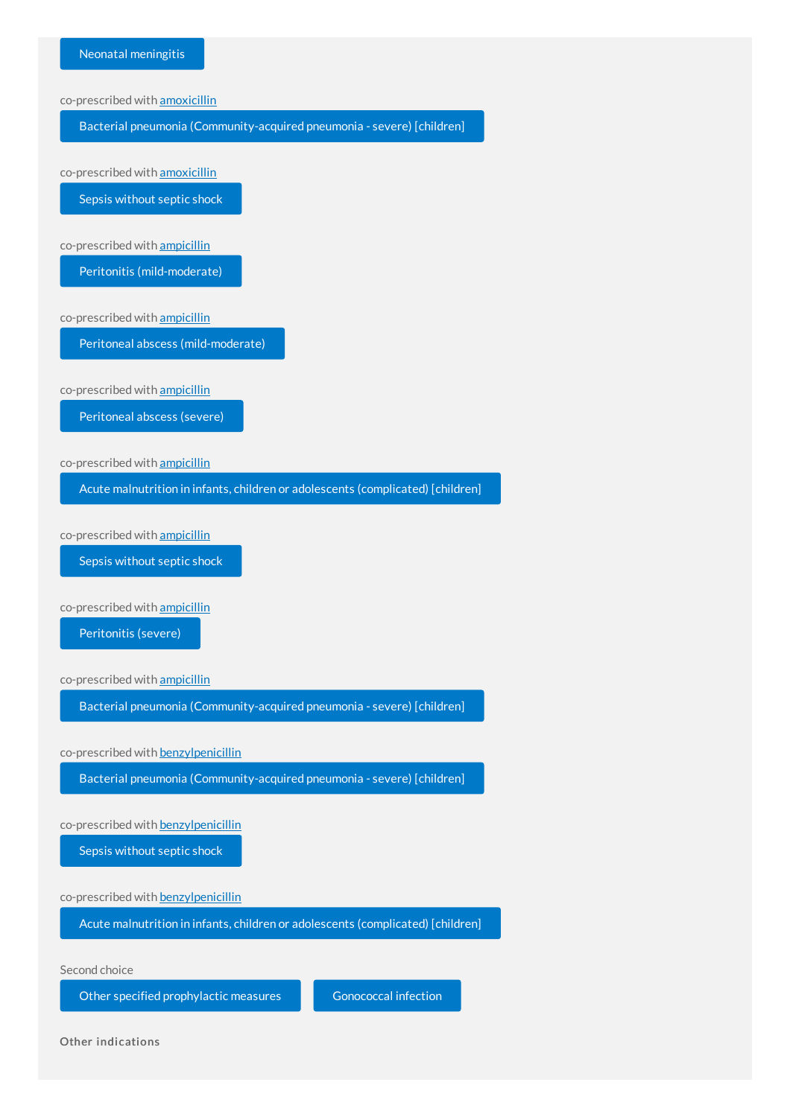

Other indications